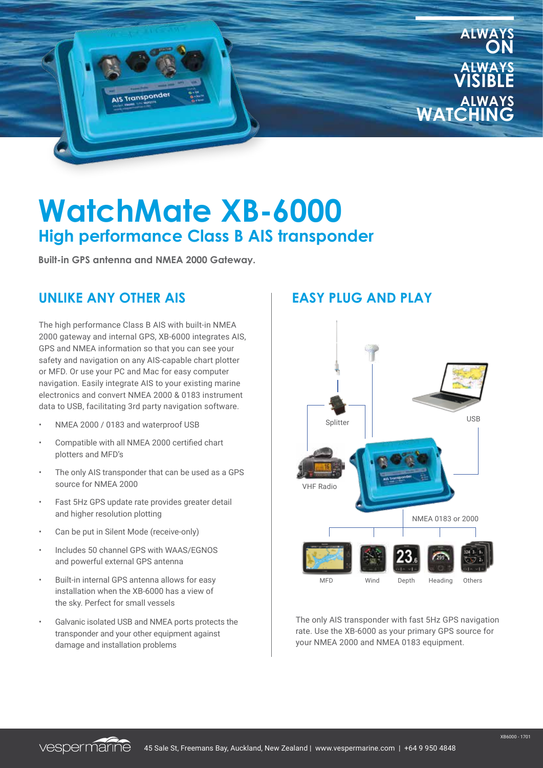

# **WatchMate XB-6000 High performance Class B AIS transponder**

**Built-in GPS antenna and NMEA 2000 Gateway.**

### **UNLIKE ANY OTHER AIS EASY PLUG AND PLAY**

The high performance Class B AIS with built-in NMEA 2000 gateway and internal GPS, XB-6000 integrates AIS, GPS and NMEA information so that you can see your safety and navigation on any AIS-capable chart plotter or MFD. Or use your PC and Mac for easy computer navigation. Easily integrate AIS to your existing marine electronics and convert NMEA 2000 & 0183 instrument data to USB, facilitating 3rd party navigation software.

- NMEA 2000 / 0183 and waterproof USB
- Compatible with all NMEA 2000 certified chart plotters and MFD's
- The only AIS transponder that can be used as a GPS source for NMEA 2000
- Fast 5Hz GPS update rate provides greater detail and higher resolution plotting
- Can be put in Silent Mode (receive-only)
- Includes 50 channel GPS with WAAS/EGNOS and powerful external GPS antenna
- Built-in internal GPS antenna allows for easy installation when the XB-6000 has a view of the sky. Perfect for small vessels
- Galvanic isolated USB and NMEA ports protects the transponder and your other equipment against damage and installation problems



The only AIS transponder with fast 5Hz GPS navigation rate. Use the XB-6000 as your primary GPS source for your NMEA 2000 and NMEA 0183 equipment.

vespermarine